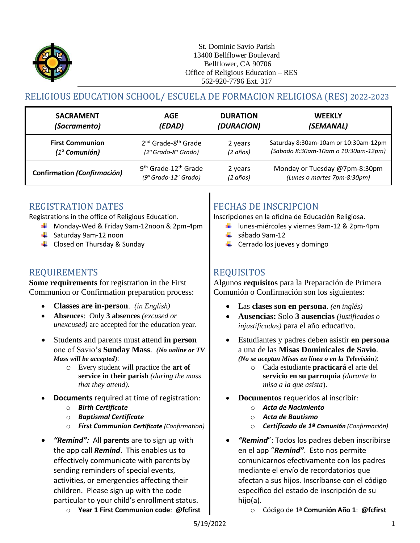

# RELIGIOUS EDUCATION SCHOOL/ ESCUELA DE FORMACION RELIGIOSA (RES) 2022-2023

| <b>SACRAMENT</b>                   | AGE                                          | <b>DURATION</b> | <b>WEEKLY</b>                        |
|------------------------------------|----------------------------------------------|-----------------|--------------------------------------|
| (Sacramento)                       | (EDAD)                                       | (DURACION)      | (SEMANAL)                            |
| <b>First Communion</b>             | 2 <sup>nd</sup> Grade-8 <sup>th</sup> Grade  | 2 years         | Saturday 8:30am-10am or 10:30am-12pm |
| $(1a$ Comunión)                    | $(2^{\circ}$ Grado-8 $^{\circ}$ Grado)       | (2 años)        | (Sabado 8:30am-10am o 10:30am-12pm)  |
| <b>Confirmation (Confirmación)</b> | 9 <sup>th</sup> Grade-12 <sup>th</sup> Grade | 2 years         | Monday or Tuesday @7pm-8:30pm        |
|                                    | $(9°$ Grado-12 $°$ Grado)                    | (2 años)        | (Lunes o martes 7pm-8:30pm)          |

### REGISTRATION DATES

Registrations in the office of Religious Education.

- Monday-Wed & Friday 9am-12noon & 2pm-4pm
- $\frac{1}{2}$  Saturday 9am-12 noon
- $\triangleq$  Closed on Thursday & Sunday

### REQUIREMENTS REQUISITOS

**Some requirements** for registration in the First Communion or Confirmation preparation process:

- 
- **Absences**: Only **3 absences** *(excused or unexcused)* are accepted for the education year.
- Students and parents must attend **in person** one of Savio's **Sunday Mass**. *(No online or TV Mass will be accepted)*:
	- o Every student will practice the **art of service in their parish** *(during the mass that they attend).*
- **Documents** required at time of registration:
	- o *Birth Certificate*
	- o *Baptismal Certificate*
	- o *First Communion Certificate (Confirmation)*
- *"Remind":* All **parents** are to sign up with the app call *Remind*. This enables us to effectively communicate with parents by sending reminders of special events, activities, or emergencies affecting their children. Please sign up with the code particular to your child's enrollment status.
	- o **Year 1 First Communion code**: **@fcfirst**

# FECHAS DE INSCRIPCION

Inscripciones en la oficina de Educación Religiosa.

- lunes-miércoles y viernes 9am-12 & 2pm-4pm
- $\frac{1}{2}$  sábado 9am-12
- $\leftarrow$  Cerrado los jueves y domingo

Algunos **requisitos** para la Preparación de Primera Comunión o Confirmación son los siguientes:

- **Classes are in-person**. *(in English)* Las **clases son en persona**. *(en inglés)*
	- **Ausencias:** Solo **3 ausencias** *(justificadas o injustificadas)* para el año educativo.
	- Estudiantes y padres deben asistir **en persona** a una de las **Misas Dominicales de Savio**. *(No se aceptan Misas en línea o en la Televisión)*:
		- o Cada estudiante **practicará** el arte del **servicio en su parroquia** *(durante la misa a la que asista*).
	- **Documentos** requeridos al inscribir:
		- o *Acta de Nacimiento*
		- o *Acta de Bautismo*
		- o *Certificado de 1ª Comunión (Confirmación)*
	- *"Remind*": Todos los padres deben inscribirse en el app "*Remind"*. Esto nos permite comunicarnos efectivamente con los padres mediante el envío de recordatorios que afectan a sus hijos. Inscríbanse con el código específico del estado de inscripción de su hijo(a).
		- o Código de 1ª **Comunión Año 1**: **@fcfirst**